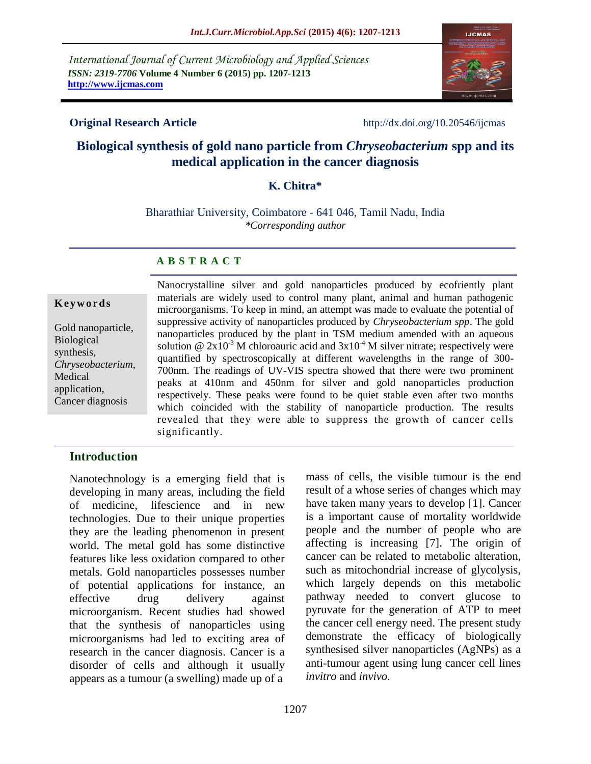*International Journal of Current Microbiology and Applied Sciences ISSN: 2319-7706* **Volume 4 Number 6 (2015) pp. 1207-1213 http://www.ijcmas.com** 



**Original Research Article** http://dx.doi.org/10.20546/ijcmas

# **Biological synthesis of gold nano particle from** *Chryseobacterium* **spp and its medical application in the cancer diagnosis**

## **K. Chitra\***

Bharathiar University, Coimbatore - 641 046, Tamil Nadu, India *\*Corresponding author*

#### **A B S T R A C T**

#### **K e y w o r d s**

Gold nanoparticle, Biological synthesis, *Chryseobacterium*, Medical application, Cancer diagnosis

Nanocrystalline silver and gold nanoparticles produced by ecofriently plant materials are widely used to control many plant, animal and human pathogenic microorganisms. To keep in mind, an attempt was made to evaluate the potential of suppressive activity of nanoparticles produced by *Chryseobacterium spp*. The gold nanoparticles produced by the plant in TSM medium amended with an aqueous solution @  $2x10^{-3}$  M chloroauric acid and  $3x10^{-4}$  M silver nitrate; respectively were quantified by spectroscopically at different wavelengths in the range of 300- 700nm. The readings of UV-VIS spectra showed that there were two prominent peaks at 410nm and 450nm for silver and gold nanoparticles production respectively. These peaks were found to be quiet stable even after two months which coincided with the stability of nanoparticle production. The results revealed that they were able to suppress the growth of cancer cells significantly.

#### **Introduction**

Nanotechnology is a emerging field that is developing in many areas, including the field of medicine, lifescience and in new technologies. Due to their unique properties they are the leading phenomenon in present world. The metal gold has some distinctive features like less oxidation compared to other metals. Gold nanoparticles possesses number of potential applications for instance, an effective drug delivery against microorganism. Recent studies had showed that the synthesis of nanoparticles using microorganisms had led to exciting area of research in the cancer diagnosis. Cancer is a disorder of cells and although it usually appears as a tumour (a swelling) made up of a

mass of cells, the visible tumour is the end result of a whose series of changes which may have taken many years to develop [1]. Cancer is a important cause of mortality worldwide people and the number of people who are affecting is increasing [7]. The origin of cancer can be related to metabolic alteration, such as mitochondrial increase of glycolysis, which largely depends on this metabolic pathway needed to convert glucose to pyruvate for the generation of ATP to meet the cancer cell energy need. The present study demonstrate the efficacy of biologically synthesised silver nanoparticles (AgNPs) as a anti-tumour agent using lung cancer cell lines *invitro* and *invivo.*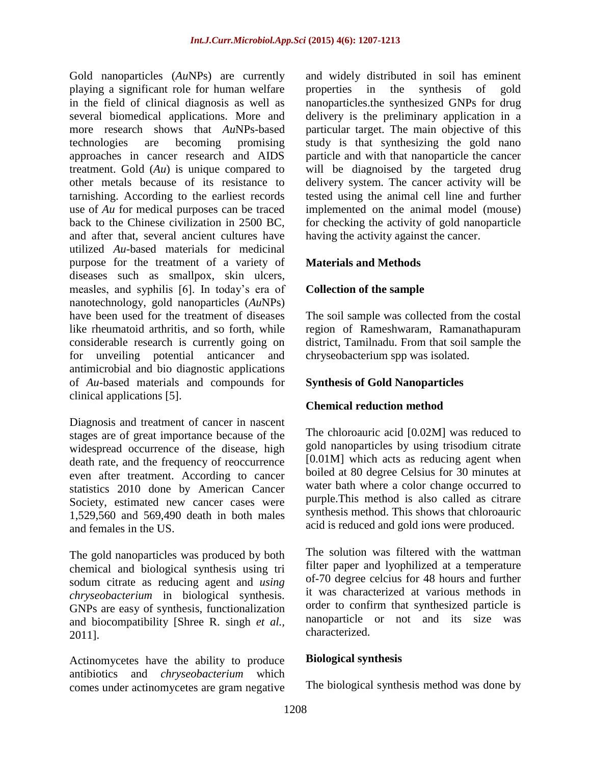Gold nanoparticles (*Au*NPs) are currently playing a significant role for human welfare in the field of clinical diagnosis as well as several biomedical applications. More and more research shows that *Au*NPs-based technologies are becoming promising approaches in cancer research and AIDS treatment. Gold (*Au*) is unique compared to other metals because of its resistance to tarnishing. According to the earliest records use of *Au* for medical purposes can be traced back to the Chinese civilization in 2500 BC, and after that, several ancient cultures have utilized *Au*-based materials for medicinal purpose for the treatment of a variety of diseases such as smallpox, skin ulcers, measles, and syphilis [6]. In today's era of nanotechnology, gold nanoparticles (*Au*NPs) have been used for the treatment of diseases like rheumatoid arthritis, and so forth, while considerable research is currently going on for unveiling potential anticancer and antimicrobial and bio diagnostic applications of *Au*-based materials and compounds for clinical applications [5].

Diagnosis and treatment of cancer in nascent stages are of great importance because of the widespread occurrence of the disease, high death rate, and the frequency of reoccurrence even after treatment. According to cancer statistics 2010 done by American Cancer Society, estimated new cancer cases were 1,529,560 and 569,490 death in both males and females in the US.

The gold nanoparticles was produced by both chemical and biological synthesis using tri sodum citrate as reducing agent and *using chryseobacterium* in biological synthesis. GNPs are easy of synthesis, functionalization and biocompatibility [Shree R. singh *et al.,* 2011].

Actinomycetes have the ability to produce antibiotics and *chryseobacterium* which comes under actinomycetes are gram negative and widely distributed in soil has eminent properties in the synthesis of gold nanoparticles.the synthesized GNPs for drug delivery is the preliminary application in a particular target. The main objective of this study is that synthesizing the gold nano particle and with that nanoparticle the cancer will be diagnoised by the targeted drug delivery system. The cancer activity will be tested using the animal cell line and further implemented on the animal model (mouse) for checking the activity of gold nanoparticle having the activity against the cancer.

## **Materials and Methods**

## **Collection of the sample**

The soil sample was collected from the costal region of Rameshwaram, Ramanathapuram district, Tamilnadu. From that soil sample the chryseobacterium spp was isolated.

## **Synthesis of Gold Nanoparticles**

## **Chemical reduction method**

The chloroauric acid [0.02M] was reduced to gold nanoparticles by using trisodium citrate [0.01M] which acts as reducing agent when boiled at 80 degree Celsius for 30 minutes at water bath where a color change occurred to purple.This method is also called as citrare synthesis method. This shows that chloroauric acid is reduced and gold ions were produced.

The solution was filtered with the wattman filter paper and lyophilized at a temperature of-70 degree celcius for 48 hours and further it was characterized at various methods in order to confirm that synthesized particle is nanoparticle or not and its size was characterized.

## **Biological synthesis**

The biological synthesis method was done by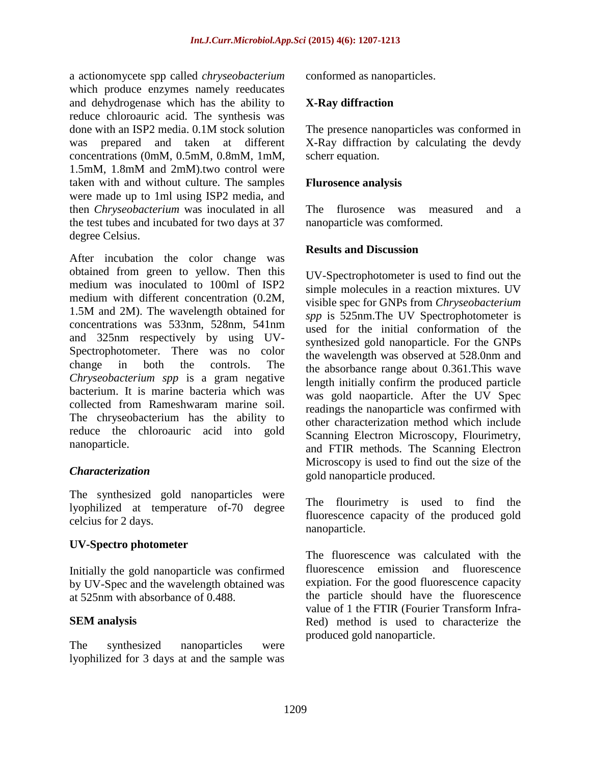a actionomycete spp called *chryseobacterium* which produce enzymes namely reeducates and dehydrogenase which has the ability to reduce chloroauric acid. The synthesis was done with an ISP2 media. 0.1M stock solution was prepared and taken at different concentrations (0mM, 0.5mM, 0.8mM, 1mM, 1.5mM, 1.8mM and 2mM).two control were taken with and without culture. The samples were made up to 1ml using ISP2 media, and then *Chryseobacterium* was inoculated in all the test tubes and incubated for two days at 37 degree Celsius.

After incubation the color change was obtained from green to yellow. Then this medium was inoculated to 100ml of ISP2 medium with different concentration (0.2M, 1.5M and 2M). The wavelength obtained for concentrations was 533nm, 528nm, 541nm and 325nm respectively by using UV-Spectrophotometer. There was no color change in both the controls. The *Chryseobacterium spp* is a gram negative bacterium. It is marine bacteria which was collected from Rameshwaram marine soil. The chryseobacterium has the ability to reduce the chloroauric acid into gold nanoparticle.

## *Characterization*

The synthesized gold nanoparticles were lyophilized at temperature of-70 degree celcius for 2 days.

## **UV-Spectro photometer**

Initially the gold nanoparticle was confirmed by UV-Spec and the wavelength obtained was at 525nm with absorbance of 0.488.

## **SEM analysis**

The synthesized nanoparticles were lyophilized for 3 days at and the sample was conformed as nanoparticles.

## **X-Ray diffraction**

The presence nanoparticles was conformed in X-Ray diffraction by calculating the devdy scherr equation.

#### **Flurosence analysis**

The flurosence was measured and a nanoparticle was comformed.

#### **Results and Discussion**

UV-Spectrophotometer is used to find out the simple molecules in a reaction mixtures. UV visible spec for GNPs from *Chryseobacterium spp* is 525nm.The UV Spectrophotometer is used for the initial conformation of the synthesized gold nanoparticle. For the GNPs the wavelength was observed at 528.0nm and the absorbance range about 0.361.This wave length initially confirm the produced particle was gold naoparticle. After the UV Spec readings the nanoparticle was confirmed with other characterization method which include Scanning Electron Microscopy, Flourimetry, and FTIR methods. The Scanning Electron Microscopy is used to find out the size of the gold nanoparticle produced.

The flourimetry is used to find the fluorescence capacity of the produced gold nanoparticle.

The fluorescence was calculated with the fluorescence emission and fluorescence expiation. For the good fluorescence capacity the particle should have the fluorescence value of 1 the FTIR (Fourier Transform Infra-Red) method is used to characterize the produced gold nanoparticle.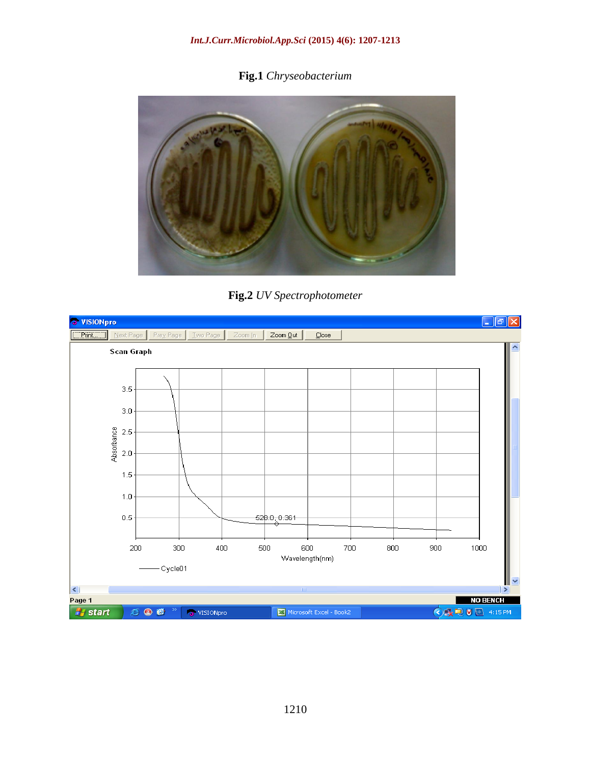#### *Int.J.Curr.Microbiol.App.Sci* **(2015) 4(6): 1207-1213**

**Fig.1** *Chryseobacterium*



**Fig.2** *UV Spectrophotometer*

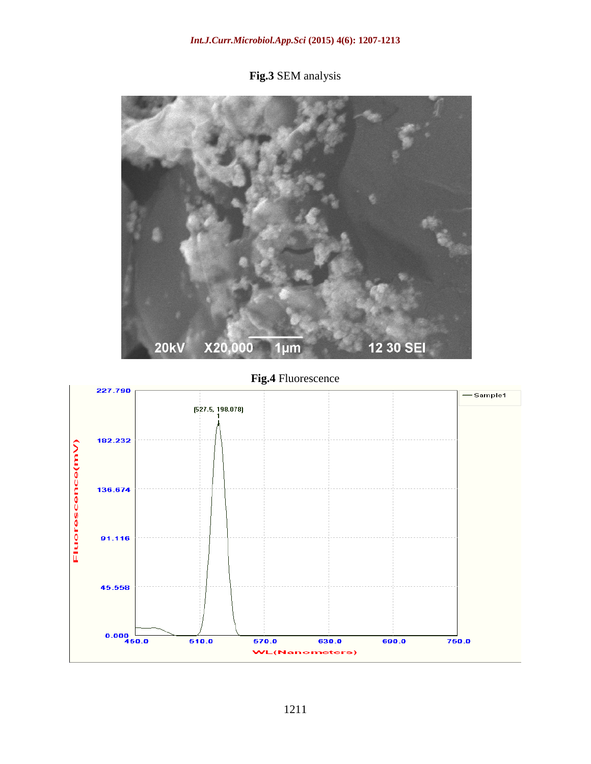#### *Int.J.Curr.Microbiol.App.Sci* **(2015) 4(6): 1207-1213**

**Fig.3** SEM analysis



# **Fig.4** Fluorescence

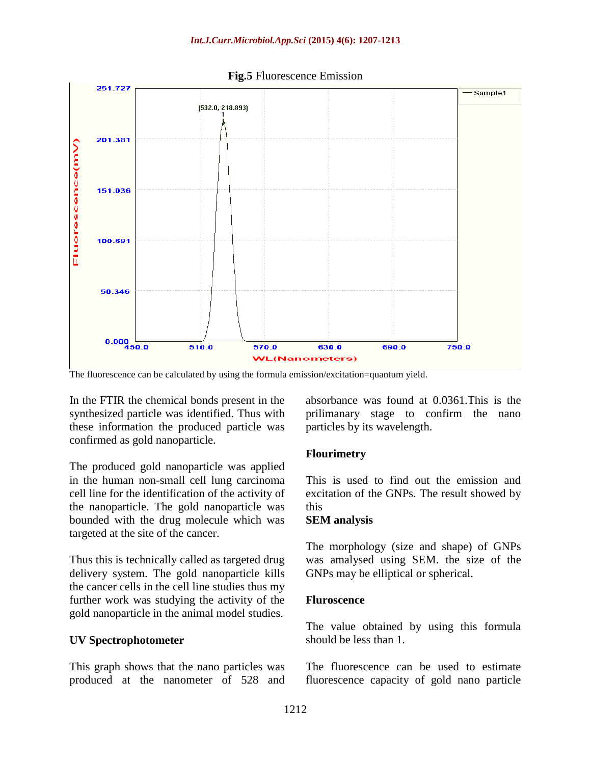

The fluorescence can be calculated by using the formula emission/excitation=quantum yield.

In the FTIR the chemical bonds present in the synthesized particle was identified. Thus with these information the produced particle was confirmed as gold nanoparticle.

The produced gold nanoparticle was applied in the human non-small cell lung carcinoma cell line for the identification of the activity of the nanoparticle. The gold nanoparticle was bounded with the drug molecule which was targeted at the site of the cancer.

Thus this is technically called as targeted drug delivery system. The gold nanoparticle kills the cancer cells in the cell line studies thus my further work was studying the activity of the gold nanoparticle in the animal model studies.

#### **UV Spectrophotometer**

This graph shows that the nano particles was produced at the nanometer of 528 and absorbance was found at 0.0361.This is the prilimanary stage to confirm the nano particles by its wavelength.

#### **Flourimetry**

This is used to find out the emission and excitation of the GNPs. The result showed by this

#### **SEM analysis**

The morphology (size and shape) of GNPs was amalysed using SEM. the size of the GNPs may be elliptical or spherical.

#### **Fluroscence**

The value obtained by using this formula should be less than 1.

The fluorescence can be used to estimate fluorescence capacity of gold nano particle